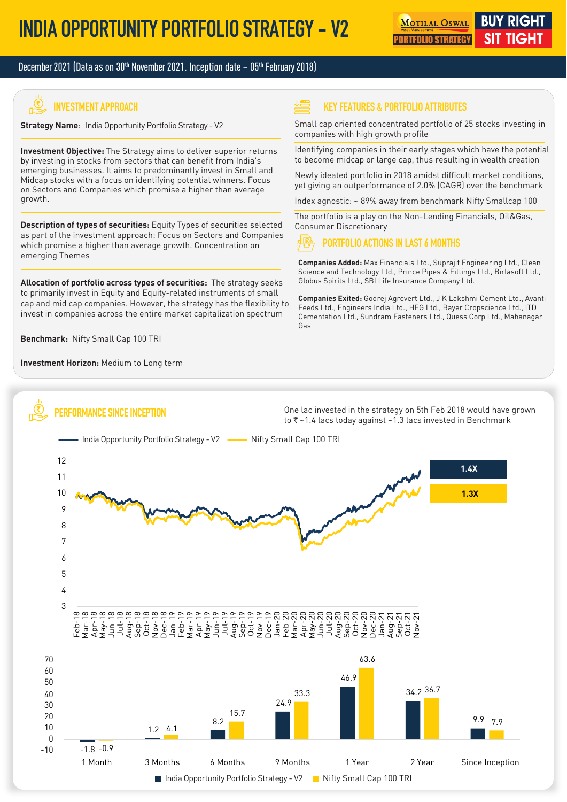#### December 2021 (Data as on 30<sup>th</sup> November 2021. Inception date – 05<sup>th</sup> February 2018)

# **INVESTMENT APPROACH**

**Strategy Name**: India Opportunity Portfolio Strategy - V2

**Investment Objective:** The Strategy aims to deliver superior returns by investing in stocks from sectors that can benefit from India's emerging businesses. It aims to predominantly invest in Small and Midcap stocks with a focus on identifying potential winners. Focus on Sectors and Companies which promise a higher than average growth.

**Description of types of securities:** Equity Types of securities selected as part of the investment approach: Focus on Sectors and Companies which promise a higher than average growth. Concentration on emerging Themes

**Allocation of portfolio across types of securities:** The strategy seeks to primarily invest in Equity and Equity-related instruments of small cap and mid cap companies. However, the strategy has the flexibility to invest in companies across the entire market capitalization spectrum

**Benchmark:** Nifty Small Cap 100 TRI

ú

**Investment Horizon:** Medium to Long term

**PERFORMANCE SINCE INCEPTION**

#### **KEY FEATURES & PORTFOLIO ATTRIBUTES**

Small cap oriented concentrated portfolio of 25 stocks investing in companies with high growth profile

Identifying companies in their early stages which have the potential to become midcap or large cap, thus resulting in wealth creation

Newly ideated portfolio in 2018 amidst difficult market conditions, yet giving an outperformance of 2.0% (CAGR) over the benchmark

Index agnostic: ~ 89% away from benchmark Nifty Smallcap 100

The portfolio is a play on the Non-Lending Financials, Oil&Gas, Consumer Discretionary

#### **PORTFOLIO ACTIONS IN LAST 6 MONTHS**

**Companies Added:** Max Financials Ltd., Suprajit Engineering Ltd., Clean Science and Technology Ltd., Prince Pipes & Fittings Ltd., Birlasoft Ltd., Globus Spirits Ltd., SBI Life Insurance Company Ltd.

**Companies Exited:** Godrej Agrovert Ltd., J K Lakshmi Cement Ltd., Avanti Feeds Ltd., Engineers India Ltd., HEG Ltd., Bayer Cropscience Ltd., ITD Cementation Ltd., Sundram Fasteners Ltd., Quess Corp Ltd., Mahanagar Gas

One lac invested in the strategy on 5th Feb 2018 would have grown to  $\bar{\tau}$  ~1.4 lacs today against ~1.3 lacs invested in Benchmark